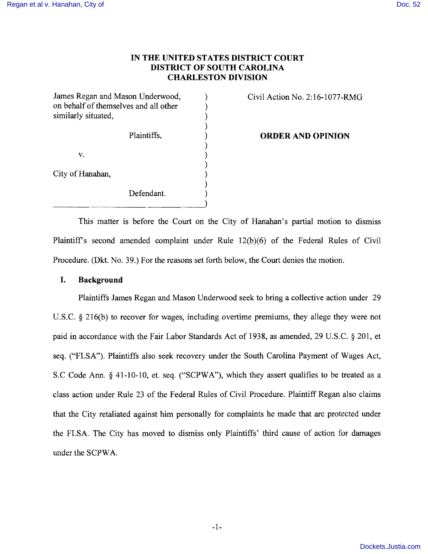# **IN THE UNITED STATES DISTRICT COURT DISTRICT OF SOUTH CAROLINA CHARLESTON DIVISION**

)

)

)

)

James Regan and Mason Underwood,  $\qquad \qquad$  Civil Action No. 2:16-1077-RMG on behalf of themselves and all other  $)$ similarly situated,

 $\mathbf{v}$ .  $\qquad \qquad \qquad$  )

City of Hanahan,

Defendant.

Plaintiffs, ) **ORDER AND OPINION** 

This matter is before the Court on the City of Hanahan's partial motion to dismiss Plaintiffs second amended complaint under Rule 12(b)(6) of the Federal Rules of Civil Procedure. (Dkt. No. 39.) For the reasons set forth below, the Court denies the motion.

#### **I. Background**

Plaintiffs James Regan and Mason Underwood seek to bring a collective action under 29 U.S.C. § 216(b) to recover for wages, including overtime premiums, they allege they were not paid in accordance with the Fair Labor Standards Act of 1938, as amended, 29 U.S.C. § 201, et seq. ("FLSA"). Plaintiffs also seek recovery under the South Carolina Payment of Wages Act, S.C Code Ann. § 41-10-10, et. seq. ("SCPWA"), which they assert qualifies to be treated as a class action under Rule 23 of the Federal Rules of Civil Procedure. Plaintiff Regan also claims that the City retaliated against him personally for complaints he made that are protected under the FLSA The City has moved to dismiss only Plaintiffs' third cause of action for damages under the SCPWA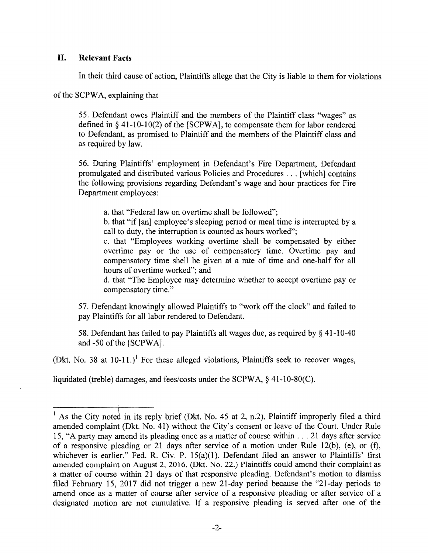# **II. Relevant Facts**

In their third cause of action, Plaintiffs allege that the City is liable to them for violations

of the SCPWA, explaining that

55. Defendant owes Plaintiff and the members of the Plaintiff class "wages" as defined in § 41-10-10(2) of the [SCPWA], to compensate them for labor rendered to Defendant, as promised to Plaintiff and the members of the Plaintiff class and as required by law.

56. During Plaintiffs' employment in Defendant's Fire Department, Defendant promulgated and distributed various Policies and Procedures ... [which] contains the following provisions regarding Defendant's wage and hour practices for Fire Department employees:

a. that "Federal law on overtime shall be followed";

b. that "if [an] employee's sleeping period or meal time is interrupted by a call to duty, the interruption is counted as hours worked";

c. that "Employees working overtime shall be compensated by either overtime pay or the use of compensatory time. Overtime pay and compensatory time shell be given at a rate of time and one-half for all hours of overtime worked"; and

d. that "The Employee may determine whether to accept overtime payor compensatory time."

57. Defendant knowingly allowed Plaintiffs to "work off the clock" and failed to pay Plaintiffs for all labor rendered to Defendant.

58. Defendant has failed to pay Plaintiffs all wages due, as required by § 41-10-40 and -50 of the [SCPWA].

(Dkt. No. 38 at  $10-11$ .)<sup>1</sup> For these alleged violations, Plaintiffs seek to recover wages,

liquidated (treble) damages, and fees/costs under the SCPWA, § 41-10-80(C).

I <sup>1</sup> As the City noted in its reply brief (Dkt. No. 45 at 2, n.2), Plaintiff improperly filed a third amended complaint (Dkt. No. 41) without the City's consent or leave of the Court. Under Rule 15, "A party may amend its pleading once as a matter of course within ... 21 days after service of a responsive pleading or 21 days after service of a motion under Rule 12(b), (e), or (f), whichever is earlier." Fed. R. Civ. P. 15(a)(1). Defendant filed an answer to Plaintiffs' first amended complaint on August 2, 2016. (Dkt. No. 22.) Plaintiffs could amend their complaint as a matter of course within 21 days of that responsive pleading. Defendant's motion to dismiss filed February 15, 2017 did not trigger a new 21-day period because the "21-day periods to amend once as a matter of course after service of a responsive pleading or after service of a designated motion are not cumulative. If a responsive pleading is served after one of the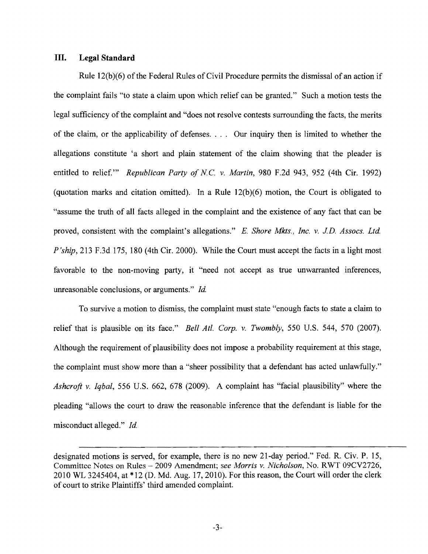# **III. Legal Standard**

Rule  $12(b)(6)$  of the Federal Rules of Civil Procedure permits the dismissal of an action if the complaint fails "to state a claim upon which relief can be granted." Such a motion tests the legal sufficiency of the complaint and "does not resolve contests surrounding the facts, the merits of the claim, or the applicability of defenses. . .. Our inquiry then is limited to whether the allegations constitute 'a short and plain statement of the claim showing that the pleader is entitled to relief.'" *Republican Party of NC.* v. *Martin,* 980 F.2d 943, 952 (4th Cir. 1992) (quotation marks and citation omitted). In a Rule 12(b)(6) motion, the Court is obligated to "assume the truth of all facts alleged in the complaint and the existence of any fact that can be proved, consistent with the complaint's allegations." E. *Shore Mkts., Inc.* v. *J.D. Assocs. Ltd. P'ship*, 213 F.3d 175, 180 (4th Cir. 2000). While the Court must accept the facts in a light most favorable to the non-moving party, it "need not accept as true unwarranted inferences, unreasonable conclusions, or arguments." *Id.* 

To survive a motion to dismiss, the complaint must state "enough facts to state a claim to relief that is plausible on its face." *Bell Atl. Corp.* v. *Twombly,* 550 U.S. 544, 570 (2007). Although the requirement of plausibility does not impose a probability requirement at this stage, the complaint must show more than a "sheer possibility that a defendant has acted unlawfully." *Ashcroft* v. *Iqbal,* 556 U.S. 662, 678 (2009). A complaint has "facial plausibility" where the pleading "allows the court to draw the reasonable inference that the defendant is liable for the misconduct alleged." *Id.* 

designated motions is served, for example, there is no new 21-day period." Fed. R. Civ. P. 15, Committee Notes on Rules - 2009 Amendment; *see Morris* v. *Nicholson,* No. RWT 09CV2726, 2010 WL 3245404, at \*12 (D. Md. Aug. 17,2010). For this reason, the Court will order the clerk of court to strike Plaintiffs' third amended complaint.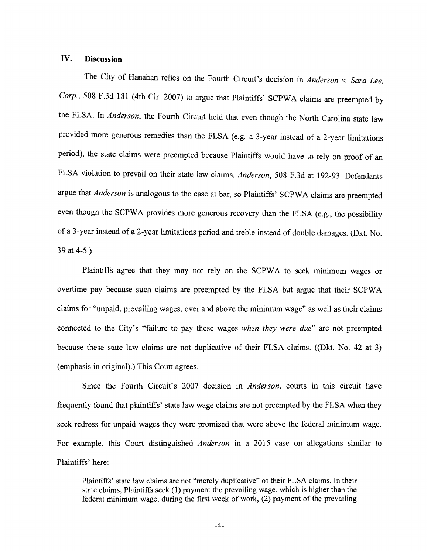# **IV. Discussion**

The City of Hanahan relies on the Fourth Circuit's decision in *Anderson* v. *Sara Lee, Corp.,* 508 F.3d 181 (4th Cir. 2007) to argue that Plaintiffs' SCPW A claims are preempted by the FLSA. In *Anderson,* the Fourth Circuit held that even though the North Carolina state law provided more generous remedies than the FLSA (e.g. a 3-year instead of a 2-year limitations period), the state claims were preempted because Plaintiffs would have to rely on proof of an FLSA violation to prevail on their state law claims. *Anderson,* 508 F.3d at 192-93. Defendants argue that *Anderson* is analogous to the case at bar, so Plaintiffs' SCPWA claims are preempted even though the SCPWA provides more generous recovery than the FLSA (e.g., the possibility of a 3-year instead of a 2-year limitations period and treble instead of double damages. (Dkt. No. 39 at 4-5.)

Plaintiffs agree that they may not rely on the SCPWA to seek minimum wages or overtime pay because such claims are preempted by the FLSA but argue that their SCPWA claims for "unpaid, prevailing wages, over and above the minimum wage" as well as their claims connected to the City's "failure to pay these wages *when they were due"* are not preempted because these state law claims are not duplicative of their FLSA claims. ((Dkt. No. 42 at 3) (emphasis in original).) This Court agrees.

Since the Fourth Circuit's 2007 decision in *Anderson,* courts in this circuit have frequently found that plaintiffs' state law wage claims are not preempted by the FLSA when they seek redress for unpaid wages they were promised that were above the federal minimum wage. For example, this Court distinguished *Anderson* in a 2015 case on allegations similar to Plaintiffs' here:

Plaintiffs' state law claims are not "merely duplicative" of their FLSA claims. In their state claims, Plaintiffs seek (1) payment the prevailing wage, which is higher than the federal minimum wage, during the first week of work, (2) payment of the prevailing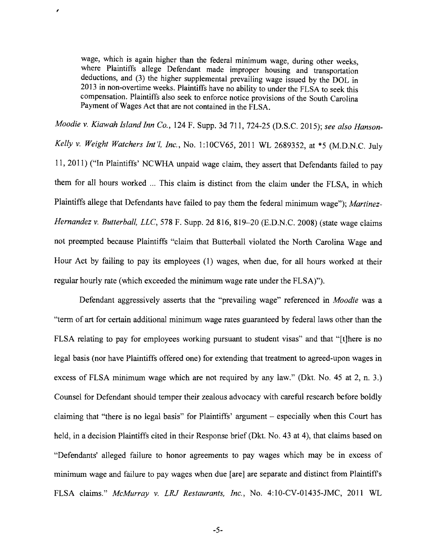wage, which is again higher than the federal minimum wage, during other weeks, where Plaintiffs allege Defendant made improper housing and transportation deductions, and (3) the higher supplemental prevailing wage issued by the DOL in 2013 in non-overtime weeks. Plaintiffs have no ability to under the FLSA to seek this compensation. Plaintiffs also seek to enforce notice provisions of the South Carolina Payment of Wages Act that are not contained in the FLSA.

,

*Moodie* v. *Kiawah Island Inn Co.,* 124 F. Supp. 3d 711, 724-25 (D.S.C. 2015); *see also Hanson-Kelly* v. *Weight Watchers Int'l, Inc.,* No.1 :lOCV65, 2011 WL 2689352, at \*5 (M.D.N.C. July 11, 2011) ("In Plaintiffs' NCWHA unpaid wage claim, they assert that Defendants failed to pay them for all hours worked ... This claim is distinct from the claim under the FLSA, in which Plaintiffs allege that Defendants have failed to pay them the federal minimum wage"); *Martinez-Hernandez* v. *Butterball, LLC,* 578 F. Supp. 2d 816, 819-20 (E.D.N.C. 2008) (state wage claims not preempted because Plaintiffs "claim that Butterball violated the North Carolina Wage and Hour Act by failing to pay its employees (1) wages, when due, for all hours worked at their regular hourly rate (which exceeded the minimum wage rate under the FLSA)").

Defendant aggressively asserts that the "prevailing wage" referenced in *Moodie* was a "term of art for certain additional minimum wage rates guaranteed by federal laws other than the FLSA relating to pay for employees working pursuant to student visas" and that "[t]here is no legal basis (nor have Plaintiffs offered one) for extending that treatment to agreed-upon wages in excess of FLSA minimum wage which are not required by any law." (Dkt. No. 45 at 2, n. 3.) Counsel for Defendant should temper their zealous advocacy with careful research before boldly claiming that "there is no legal basis" for Plaintiffs' argument - especially when this Court has held, in a decision Plaintiffs cited in their Response brief (Dkt. No. 43 at 4), that claims based on "Defendants' alleged failure to honor agreements to pay wages which may be in excess of minimum wage and failure to pay wages when due [are] are separate and distinct from Plaintiffs FLSA claims." *McMurray* v. *LRJ Restaurants, Inc.,* No. 4:10-CV-01435-JMC, 2011 WL

-5-